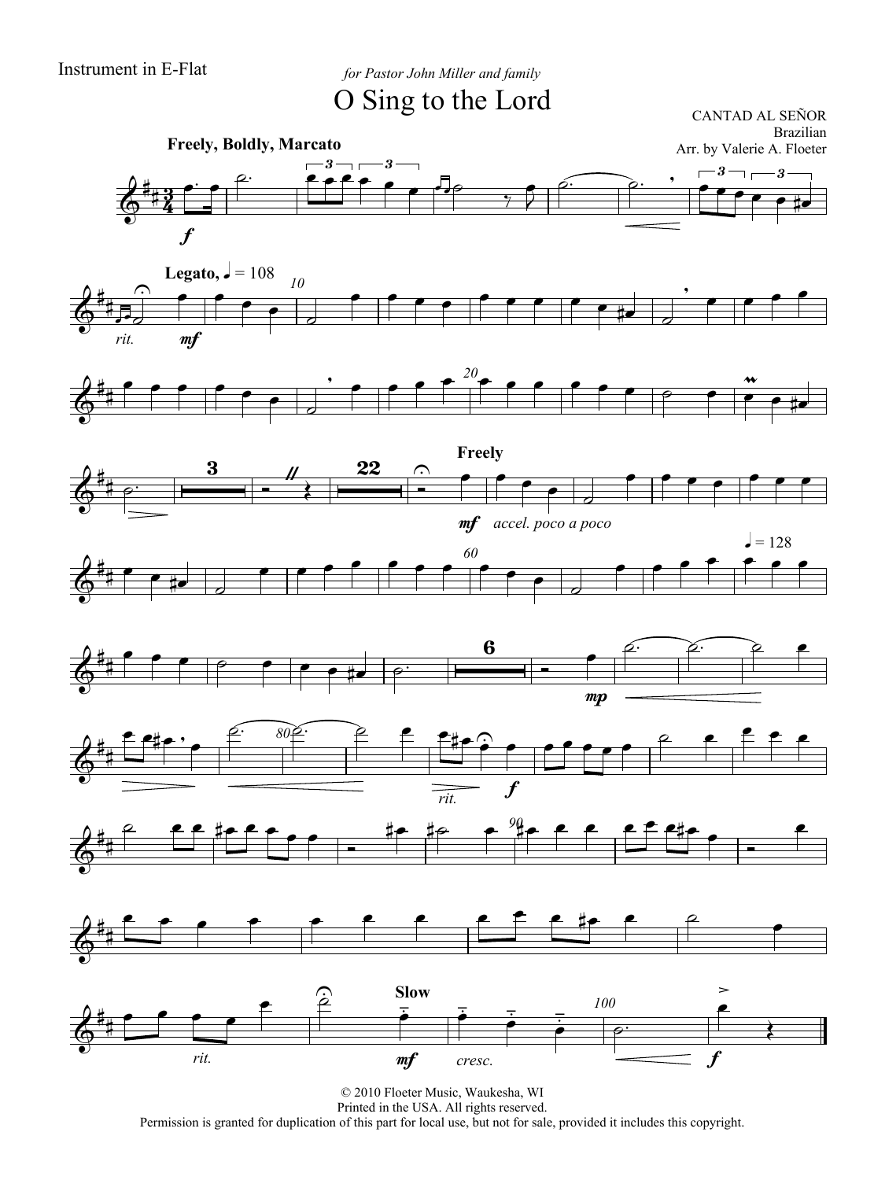Instrument in E-Flat *for Pastor John Miller and family*

O Sing to the Lord

CANTAD AL SEÑOR Brazilian Arr. by Valerie A. Floeter



















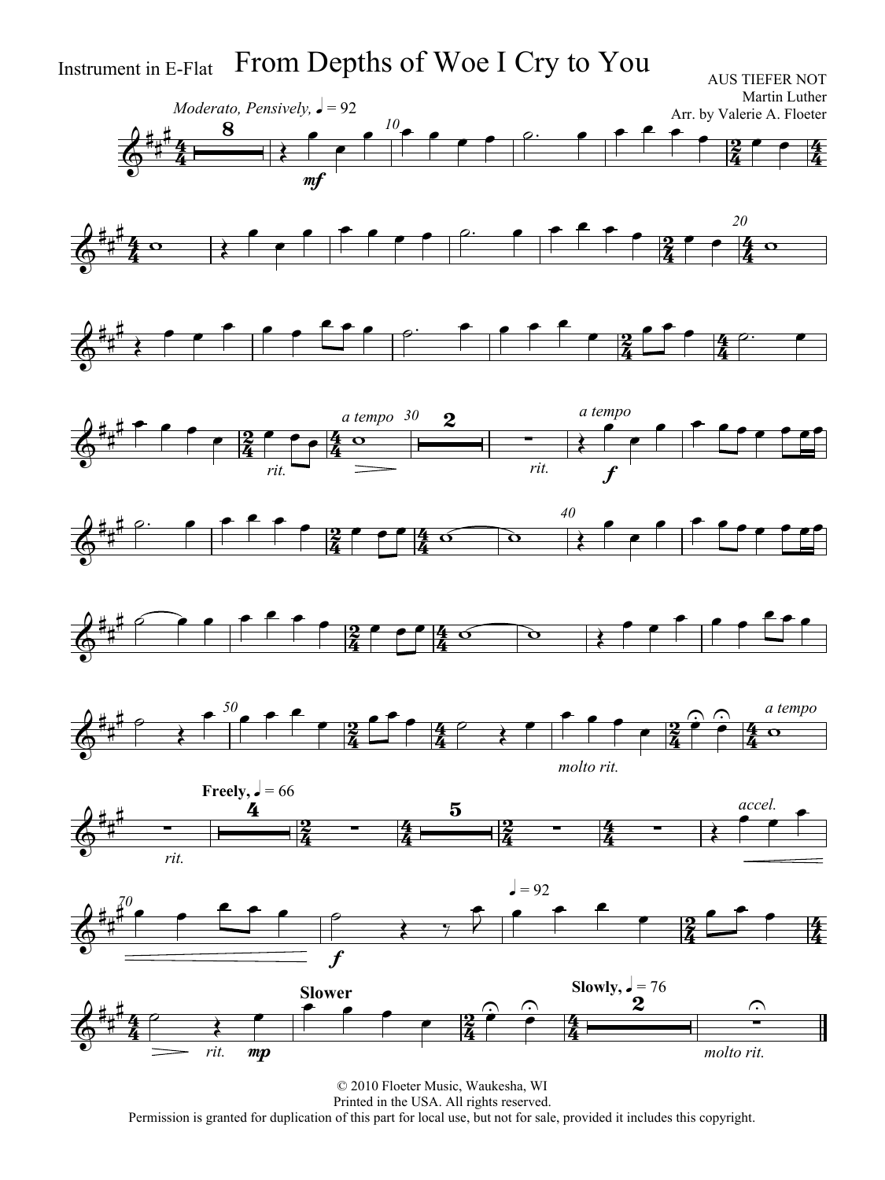

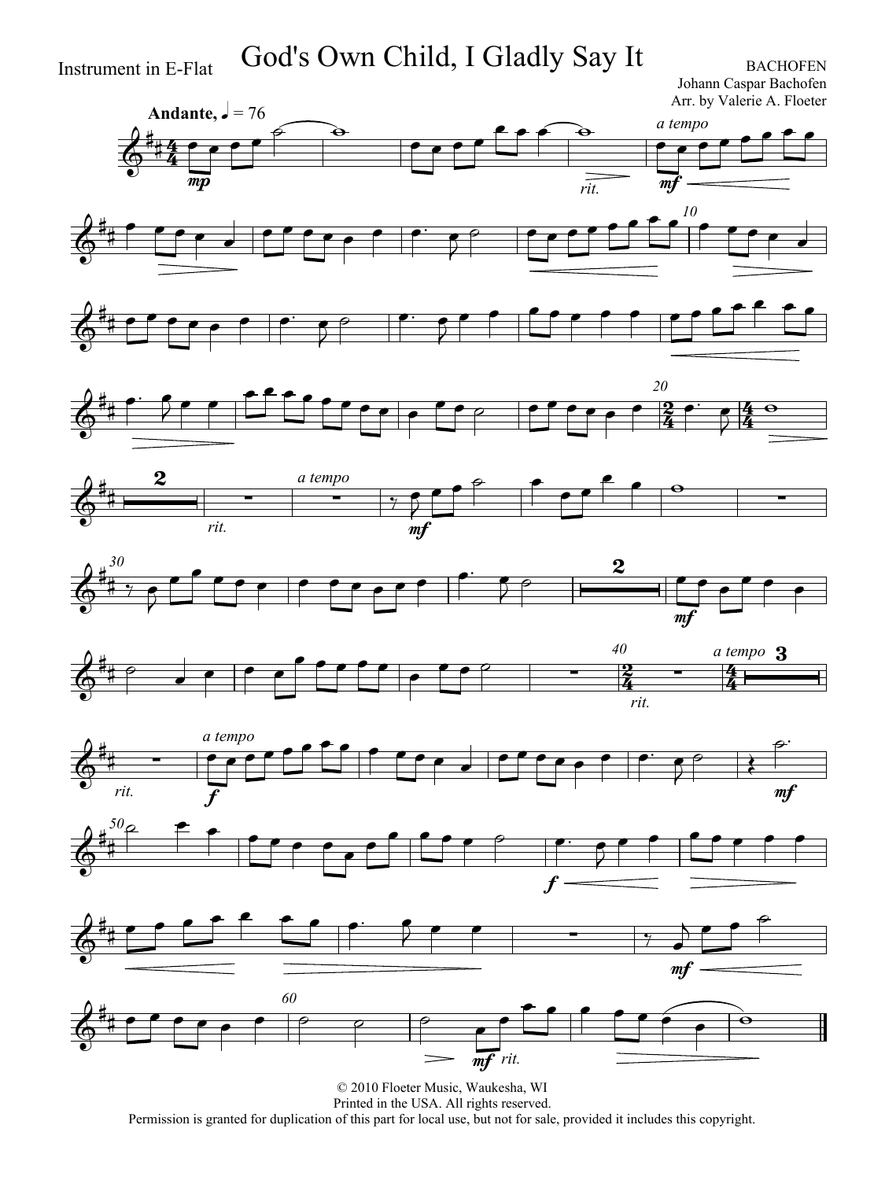Instrument in E-Flat God's Own Child, I Gladly Say It

Johann Caspar Bachofen Arr. by Valerie A. Floeter





















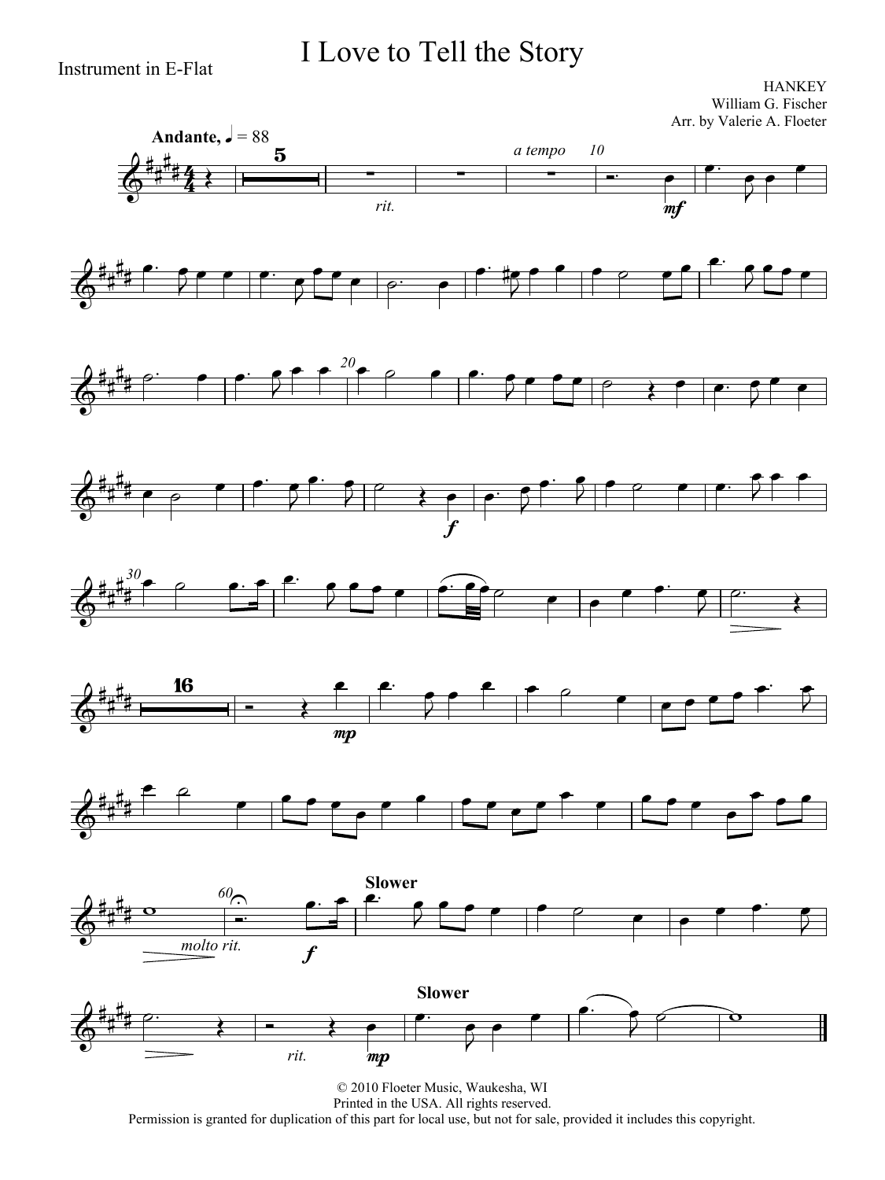I Love to Tell the Story

**HANKEY** William G. Fischer Arr. by Valerie A. Floeter



Permission is granted for duplication of this part for local use, but not for sale, provided it includes this copyright.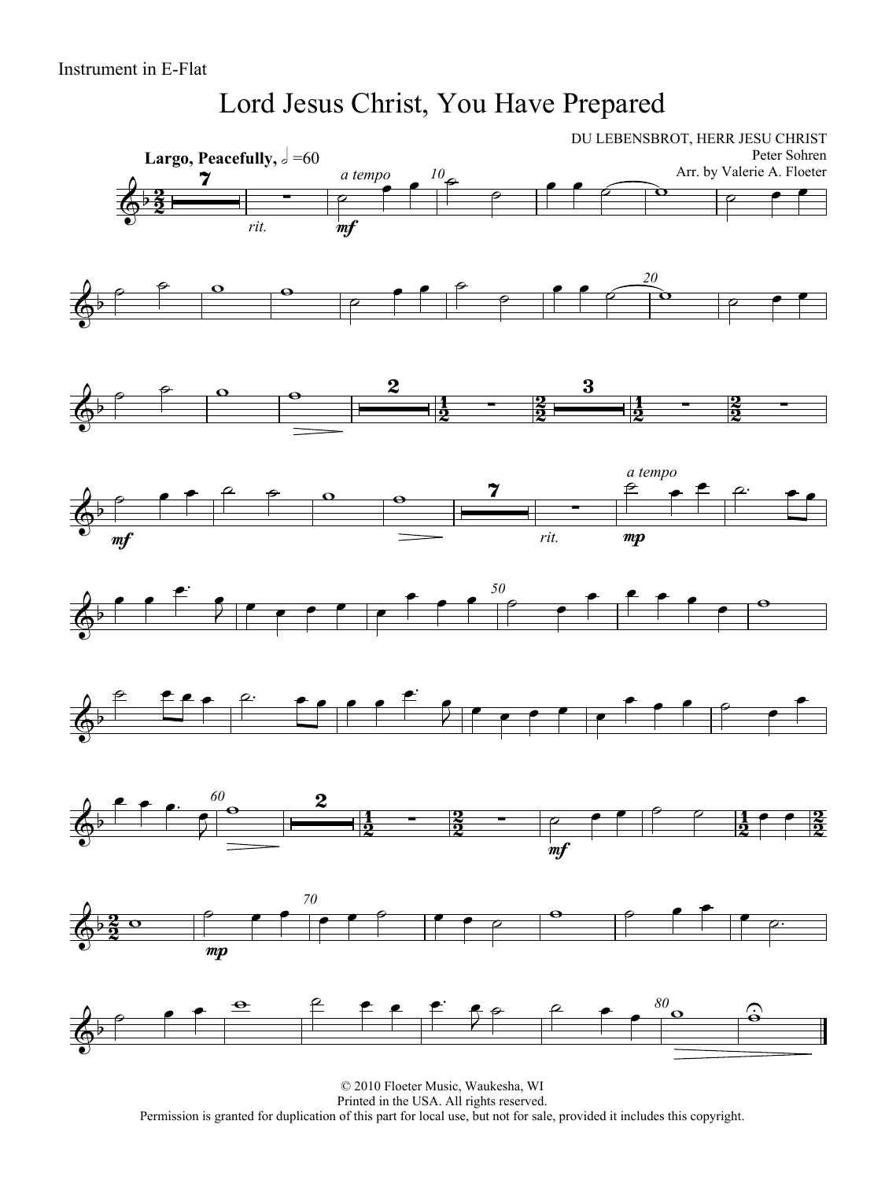### Lord Jesus Christ, You Have Prepared



© 2010 Floeter Music, Waukesha, WI Printed in the USA. All rights reserved. Permission is granted for duplication of this part for local use, but not for sale, provided it includes this copyright.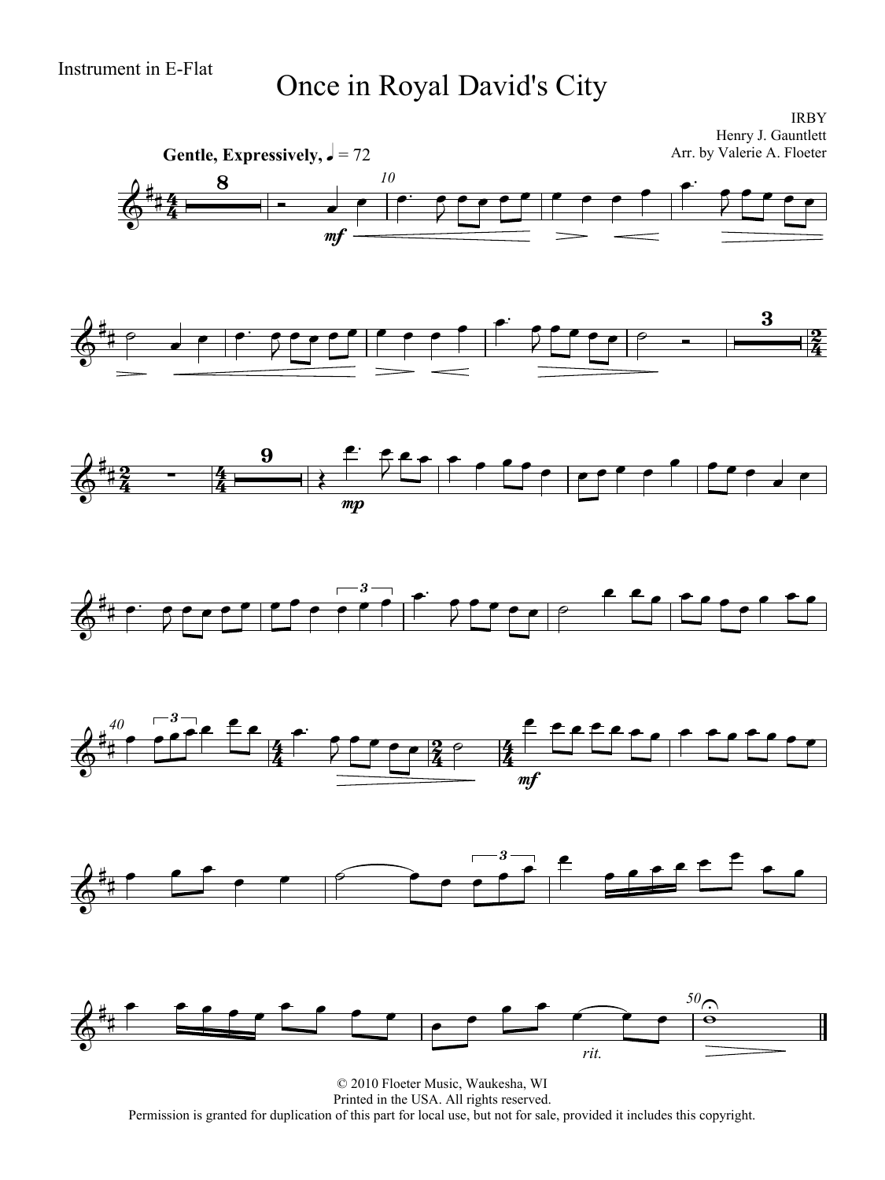# Instrument in E-Flat Once in Royal David's City

IRBY Henry J. Gauntlett



© 2010 Floeter Music, Waukesha, WI Printed in the USA. All rights reserved. Permission is granted for duplication of this part for local use, but not for sale, provided it includes this copyright.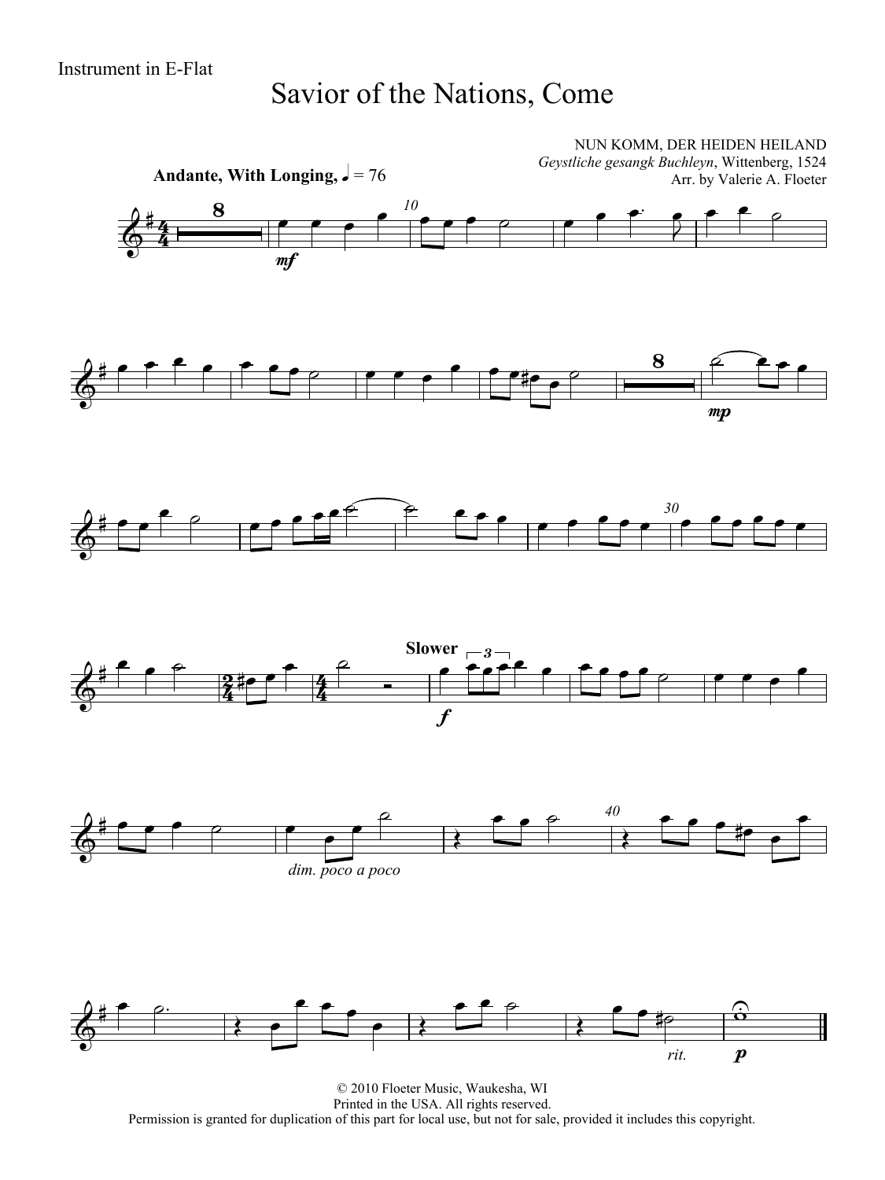#### Savior of the Nations, Come



© 2010 Floeter Music, Waukesha, WI Printed in the USA. All rights reserved. Permission is granted for duplication of this part for local use, but not for sale, provided it includes this copyright.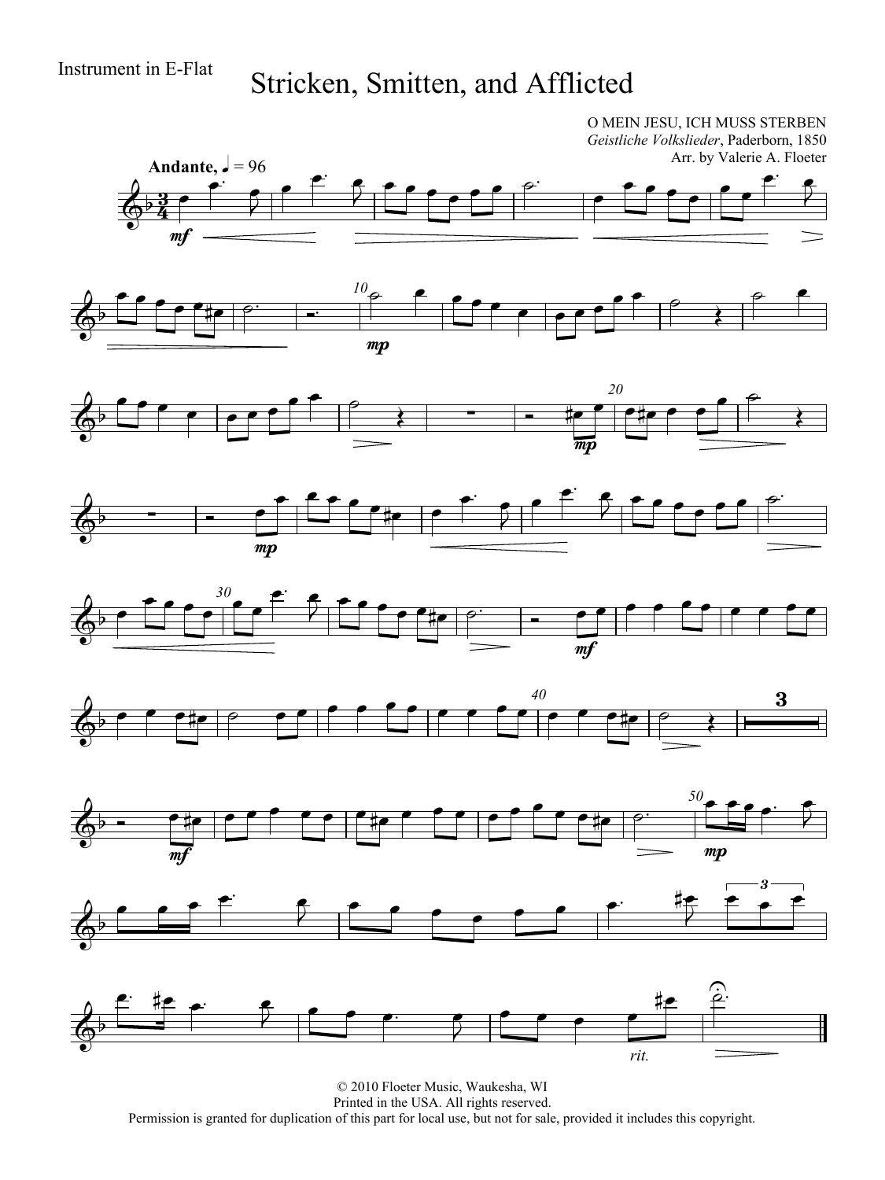## Instrument in E-Flat Stricken, Smitten, and Afflicted

O MEIN JESU, ICH MUSS STERBEN

*Geistliche Volkslieder*, Paderborn, 1850 Arr. by Valerie A. Floeter Andante,  $\frac{1}{2} = 96$  $\epsilon$   $\epsilon$  $\begin{array}{|c|c|c|c|c|}\n\hline\n\end{array}$  $\frac{\cdot \cdot \cdot}{\cdot \cdot \cdot}$  $\bullet$  $\overline{\phantom{a}}$ <u>3</u>  $\overline{\bullet}$  $\overline{2}$  $\overline{\Phi^{\flat}}$ ₹  $\frac{3}{4}$  $m<sub>i</sub>$   $\theta$   $\theta$ <del>.</del><br>. . . . . . . . *10*  $\begin{array}{c|c|c|c|c} \bullet & \bullet & \bullet & \bullet \end{array}$  $\overline{\Phi}$ mp *20*  $\rightarrow$  $\overline{\phantom{a}}$   $\overline{\phantom{a}}$   $\overline{\phantom{a}}$   $\overline{\phantom{a}}$   $\overline{\phantom{a}}$   $\overline{\phantom{a}}$   $\overline{\phantom{a}}$   $\overline{\phantom{a}}$   $\overline{\phantom{a}}$   $\overline{\phantom{a}}$   $\overline{\phantom{a}}$   $\overline{\phantom{a}}$   $\overline{\phantom{a}}$   $\overline{\phantom{a}}$   $\overline{\phantom{a}}$   $\overline{\phantom{a}}$   $\overline{\phantom{a}}$   $\overline{\phantom{a}}$   $\overline{\$ <sub>₩</sub><br>₩<del>₽<sup>₽</sup> |₽₩₽₽ ₽</del>  $\overline{\Phi^{\flat}}$  $\overline{\star}$  $\overline{m}$  $\epsilon$   $\epsilon$  $\begin{array}{|c|c|c|c|c|}\hline \rule{0pt}{1ex} \bullet & \rule{0pt}{1ex} & \rule{0pt}{1ex} \bullet & \rule{0pt}{1ex} & \rule{0pt}{1ex} & \rule{0pt}{1ex} & \rule{0pt}{1ex} & \rule{0pt}{1ex} & \rule{0pt}{1ex} & \rule{0pt}{1ex} & \rule{0pt}{1ex} & \rule{0pt}{1ex} & \rule{0pt}{1ex} & \rule{0pt}{1ex} & \rule{0pt}{1ex} & \rule{0pt}{1ex} & \rule{0pt}{1ex} & \rule{0pt}{1ex} & \rule{0pt}{1ex} & \rule{0pt}{1$  $\overrightarrow{ }$  $\frac{1}{\sqrt{1-\frac{1}{\sqrt{1-\frac{1}{\sqrt{1-\frac{1}{\sqrt{1-\frac{1}{\sqrt{1-\frac{1}{\sqrt{1-\frac{1}{\sqrt{1-\frac{1}{\sqrt{1-\frac{1}{\sqrt{1-\frac{1}{\sqrt{1-\frac{1}{\sqrt{1-\frac{1}{\sqrt{1-\frac{1}{\sqrt{1-\frac{1}{\sqrt{1-\frac{1}{\sqrt{1-\frac{1}{\sqrt{1-\frac{1}{\sqrt{1-\frac{1}{\sqrt{1-\frac{1}{\sqrt{1-\frac{1}{\sqrt{1-\frac{1}{\sqrt{1-\frac{1}{\sqrt{1-\frac{1}{\sqrt{1-\frac{1}{\sqrt{1-\frac{1$  $\overline{\phantom{a}}$  $\overline{\bullet}$  $\phi$  - -₹ mp  $\epsilon$   $\epsilon$  $\frac{1}{\sqrt{1-\frac{1}{\sqrt{1-\frac{1}{\sqrt{1-\frac{1}{\sqrt{1-\frac{1}{\sqrt{1-\frac{1}{\sqrt{1-\frac{1}{\sqrt{1-\frac{1}{\sqrt{1-\frac{1}{\sqrt{1-\frac{1}{\sqrt{1-\frac{1}{\sqrt{1-\frac{1}{\sqrt{1-\frac{1}{\sqrt{1-\frac{1}{\sqrt{1-\frac{1}{\sqrt{1-\frac{1}{\sqrt{1-\frac{1}{\sqrt{1-\frac{1}{\sqrt{1-\frac{1}{\sqrt{1-\frac{1}{\sqrt{1-\frac{1}{\sqrt{1-\frac{1}{\sqrt{1-\frac{1}{\sqrt{1-\frac{1}{\sqrt{1-\frac{1$  *30*  $\overline{\phantom{a}}$  $\overrightarrow{e}$   $\overrightarrow{e}$   $\overrightarrow{e}$   $\overrightarrow{e}$   $\overrightarrow{e}$   $\overrightarrow{e}$   $\overrightarrow{e}$  $\overset{\circ}{\circ}$ mf *40*  $\begin{array}{c} \mathbf{A} & \mathbf{B} & \mathbf{B} & \mathbf{B} & \mathbf{B} & \mathbf{B} & \mathbf{B} & \mathbf{B} & \mathbf{B} & \mathbf{B} & \mathbf{B} & \mathbf{B} & \mathbf{B} & \mathbf{B} & \mathbf{B} & \mathbf{B} & \mathbf{B} & \mathbf{B} & \mathbf{B} & \mathbf{B} & \mathbf{B} & \mathbf{B} & \mathbf{B} & \mathbf{B} & \mathbf{B} & \mathbf{B} & \mathbf{B} & \mathbf{B} & \mathbf{B} & \mathbf{B} & \mathbf$ 3 Ł <u>e#e | e f f f e | f#e f f f | e f f e e #e | f</u> *50*  $\bar{z}$  $\overline{\phi}$  mp mf  $\bullet$   $\bullet$   $\bullet$   $\bullet$   $\bullet$ 3  $\begin{array}{|c|c|c|c|c|c|c|c|c|}\hline \bullet & \bullet & \bullet & \bullet & \frac{\# \bullet}{\# \bullet} \\ \hline \end{array}$  $\begin{array}{c} \overline{\phantom{a}}^{3} \ \end{array}$  $\overline{2}$  $\overline{\Phi}$  $\hat{c}$  $f$   $\mathrel{\mathop:}$   $\mathrel{\mathop:}$   $\mathrel{\mathop:}$   $\mathrel{\mathop:}$   $f$ <u>نج</u> ‡<br>#<del>[</del>  $\begin{array}{ccc} \circ & \circ & \circ & \circ \end{array}$  $\bullet$   $\bullet$   $\bullet$  $\bullet$  $\overline{\Phi^{\flat}}$  $\sum_{i=1}^{n}$ *rit.*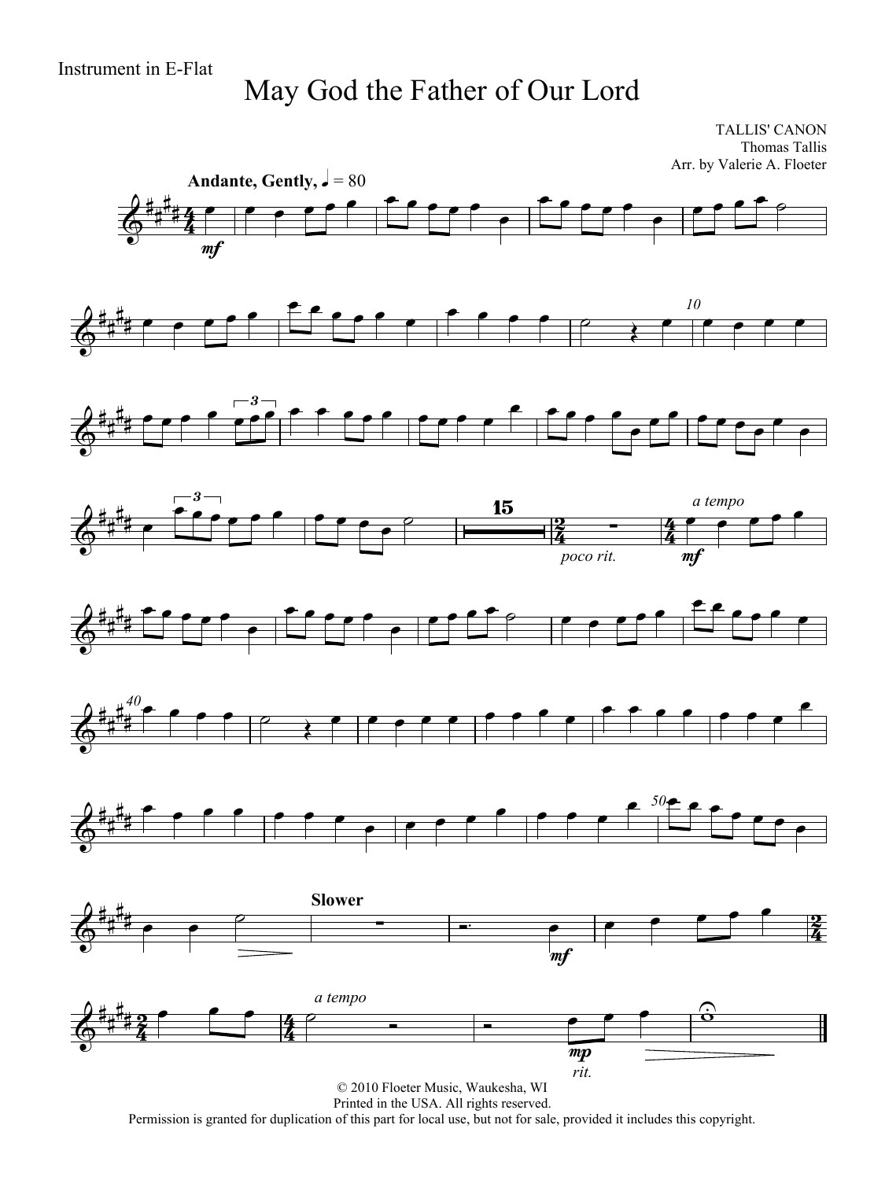## May God the Father of Our Lord

TALLIS' CANON Thomas Tallis Arr. by Valerie A. Floeter



Printed in the USA. All rights reserved.

Permission is granted for duplication of this part for local use, but not for sale, provided it includes this copyright.